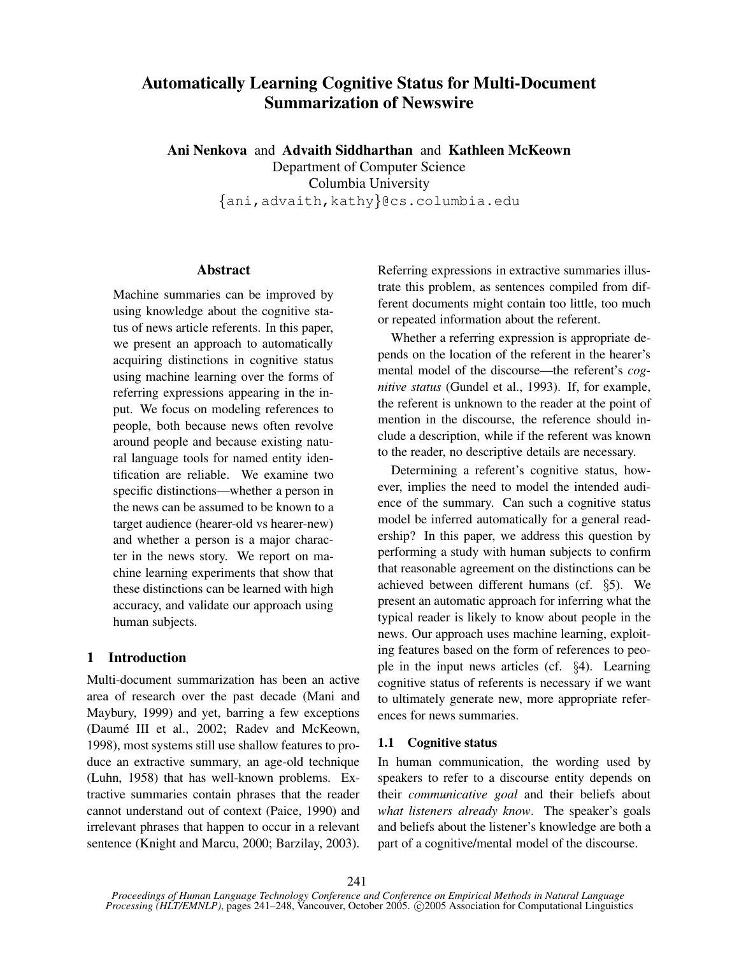# **Automatically Learning Cognitive Status for Multi-Document Summarization of Newswire**

**Ani Nenkova** and **Advaith Siddharthan** and **Kathleen McKeown** Department of Computer Science Columbia University  $\{\texttt{ani}, \texttt{advaith}, \texttt{kathy}\}$ @cs.columbia.edu

## **Abstract**

Machine summaries can be improved by using knowledge about the cognitive status of news article referents. In this paper, we present an approach to automatically acquiring distinctions in cognitive status using machine learning over the forms of referring expressions appearing in the input. We focus on modeling references to people, both because news often revolve around people and because existing natural language tools for named entity identification are reliable. We examine two specific distinctions—whether a person in the news can be assumed to be known to a target audience (hearer-old vs hearer-new) and whether a person is a major character in the news story. We report on machine learning experiments that show that these distinctions can be learned with high accuracy, and validate our approach using human subjects.

# **1 Introduction**

Multi-document summarization has been an active area of research over the past decade (Mani and Maybury, 1999) and yet, barring a few exceptions (Daume´ III et al., 2002; Radev and McKeown, 1998), most systems still use shallow features to produce an extractive summary, an age-old technique (Luhn, 1958) that has well-known problems. Extractive summaries contain phrases that the reader cannot understand out of context (Paice, 1990) and irrelevant phrases that happen to occur in a relevant sentence (Knight and Marcu, 2000; Barzilay, 2003).

Referring expressions in extractive summaries illustrate this problem, as sentences compiled from different documents might contain too little, too much or repeated information about the referent.

Whether a referring expression is appropriate depends on the location of the referent in the hearer's mental model of the discourse—the referent's *cognitive status* (Gundel et al., 1993). If, for example, the referent is unknown to the reader at the point of mention in the discourse, the reference should include a description, while if the referent was known to the reader, no descriptive details are necessary.

Determining a referent's cognitive status, however, implies the need to model the intended audience of the summary. Can such a cognitive status model be inferred automatically for a general readership? In this paper, we address this question by performing a study with human subjects to confirm that reasonable agreement on the distinctions can be achieved between different humans (cf.  $\S5$ ). We present an automatic approach for inferring what the typical reader is likely to know about people in the news. Our approach uses machine learning, exploiting features based on the form of references to people in the input news articles (cf.  $\S$ 4). Learning cognitive status of referents is necessary if we want to ultimately generate new, more appropriate references for news summaries.

# **1.1 Cognitive status**

In human communication, the wording used by speakers to refer to a discourse entity depends on their *communicative goal* and their beliefs about *what listeners already know*. The speaker's goals and beliefs about the listener's knowledge are both a part of a cognitive/mental model of the discourse.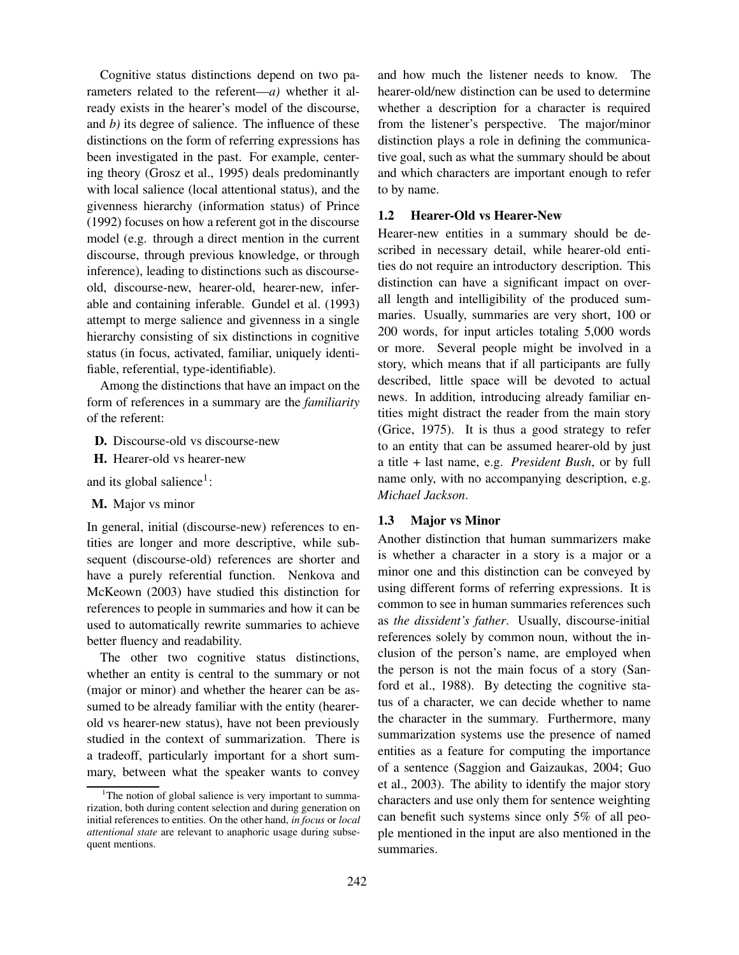Cognitive status distinctions depend on two parameters related to the referent—*a)* whether it already exists in the hearer's model of the discourse, and *b)* its degree of salience. The influence of these distinctions on the form of referring expressions has been investigated in the past. For example, centering theory (Grosz et al., 1995) deals predominantly with local salience (local attentional status), and the givenness hierarchy (information status) of Prince (1992) focuses on how a referent got in the discourse model (e.g. through a direct mention in the current discourse, through previous knowledge, or through inference), leading to distinctions such as discourseold, discourse-new, hearer-old, hearer-new, inferable and containing inferable. Gundel et al. (1993) attempt to merge salience and givenness in a single hierarchy consisting of six distinctions in cognitive status (in focus, activated, familiar, uniquely identifiable, referential, type-identifiable).

Among the distinctions that have an impact on the form of references in a summary are the *familiarity* of the referent:

- **D.** Discourse-old vs discourse-new
- **H.** Hearer-old vs hearer-new

and its global salience<sup>1</sup>:

**M.** Major vs minor

In general, initial (discourse-new) references to entities are longer and more descriptive, while subsequent (discourse-old) references are shorter and have a purely referential function. Nenkova and McKeown (2003) have studied this distinction for references to people in summaries and how it can be used to automatically rewrite summaries to achieve better fluency and readability.

The other two cognitive status distinctions, whether an entity is central to the summary or not (major or minor) and whether the hearer can be assumed to be already familiar with the entity (hearerold vs hearer-new status), have not been previously studied in the context of summarization. There is a tradeoff, particularly important for a short summary, between what the speaker wants to convey

and how much the listener needs to know. The hearer-old/new distinction can be used to determine whether a description for a character is required from the listener's perspective. The major/minor distinction plays a role in defining the communicative goal, such as what the summary should be about and which characters are important enough to refer to by name.

#### **1.2 Hearer-Old vs Hearer-New**

Hearer-new entities in a summary should be described in necessary detail, while hearer-old entities do not require an introductory description. This distinction can have a significant impact on overall length and intelligibility of the produced summaries. Usually, summaries are very short, 100 or 200 words, for input articles totaling 5,000 words or more. Several people might be involved in a story, which means that if all participants are fully described, little space will be devoted to actual news. In addition, introducing already familiar entities might distract the reader from the main story (Grice, 1975). It is thus a good strategy to refer to an entity that can be assumed hearer-old by just a title + last name, e.g. *President Bush*, or by full name only, with no accompanying description, e.g. *Michael Jackson*.

### **1.3 Major vs Minor**

Another distinction that human summarizers make is whether a character in a story is a major or a minor one and this distinction can be conveyed by using different forms of referring expressions. It is common to see in human summaries references such as *the dissident's father*. Usually, discourse-initial references solely by common noun, without the inclusion of the person's name, are employed when the person is not the main focus of a story (Sanford et al., 1988). By detecting the cognitive status of a character, we can decide whether to name the character in the summary. Furthermore, many summarization systems use the presence of named entities as a feature for computing the importance of a sentence (Saggion and Gaizaukas, 2004; Guo et al., 2003). The ability to identify the major story characters and use only them for sentence weighting can benefit such systems since only 5% of all people mentioned in the input are also mentioned in the summaries.

<sup>&</sup>lt;sup>1</sup>The notion of global salience is very important to summarization, both during content selection and during generation on initial references to entities. On the other hand, *in focus* or *local attentional state* are relevant to anaphoric usage during subsequent mentions.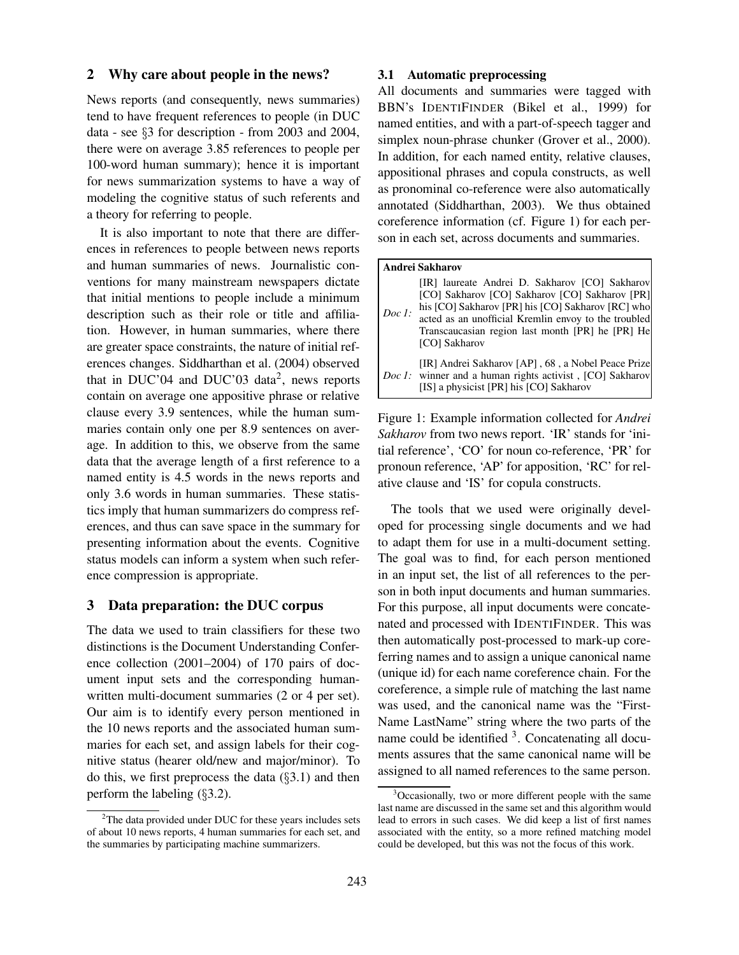# **2 Why care about people in the news?**

News reports (and consequently, news summaries) tend to have frequent references to people (in DUC data - see  $\S$ 3 for description - from 2003 and 2004, there were on average 3.85 references to people per 100-word human summary); hence it is important for news summarization systems to have a way of modeling the cognitive status of such referents and a theory for referring to people.

It is also important to note that there are differences in references to people between news reports and human summaries of news. Journalistic conventions for many mainstream newspapers dictate that initial mentions to people include a minimum description such as their role or title and affiliation. However, in human summaries, where there are greater space constraints, the nature of initial references changes. Siddharthan et al. (2004) observed that in DUC'04 and DUC'03 data<sup>2</sup>, news reports contain on average one appositive phrase or relative clause every 3.9 sentences, while the human summaries contain only one per 8.9 sentences on average. In addition to this, we observe from the same data that the average length of a first reference to a named entity is 4.5 words in the news reports and only 3.6 words in human summaries. These statistics imply that human summarizers do compress references, and thus can save space in the summary for presenting information about the events. Cognitive status models can inform a system when such reference compression is appropriate.

# **3 Data preparation: the DUC corpus**

The data we used to train classifiers for these two distinctions is the Document Understanding Conference collection (2001–2004) of 170 pairs of document input sets and the corresponding humanwritten multi-document summaries (2 or 4 per set). Our aim is to identify every person mentioned in the 10 news reports and the associated human summaries for each set, and assign labels for their cognitive status (hearer old/new and major/minor). To do this, we first preprocess the data  $(\S 3.1)$  and then perform the labeling  $(\S 3.2)$ .

#### **3.1 Automatic preprocessing**

All documents and summaries were tagged with BBN's IDENTIFINDER (Bikel et al., 1999) for named entities, and with a part-of-speech tagger and simplex noun-phrase chunker (Grover et al., 2000). In addition, for each named entity, relative clauses, appositional phrases and copula constructs, as well as pronominal co-reference were also automatically annotated (Siddharthan, 2003). We thus obtained coreference information (cf. Figure 1) for each person in each set, across documents and summaries.

| Andrei Sakharov |                                                                                                                                                                                                                                                                                    |  |  |  |
|-----------------|------------------------------------------------------------------------------------------------------------------------------------------------------------------------------------------------------------------------------------------------------------------------------------|--|--|--|
| Doc 1:          | [IR] laureate Andrei D. Sakharov [CO] Sakharov<br>[CO] Sakharov [CO] Sakharov [CO] Sakharov [PR]<br>his [CO] Sakharov [PR] his [CO] Sakharov [RC] who<br>acted as an unofficial Kremlin envoy to the troubled<br>Transcaucasian region last month [PR] he [PR] He<br>[CO] Sakharov |  |  |  |
|                 | [IR] Andrei Sakharov [AP], 68, a Nobel Peace Prize<br><i>Doc 1:</i> winner and a human rights activist, [CO] Sakharov<br>[IS] a physicist [PR] his [CO] Sakharov                                                                                                                   |  |  |  |

Figure 1: Example information collected for *Andrei Sakharov* from two news report. 'IR' stands for 'initial reference', 'CO' for noun co-reference, 'PR' for pronoun reference, 'AP' for apposition, 'RC' for relative clause and 'IS' for copula constructs.

The tools that we used were originally developed for processing single documents and we had to adapt them for use in a multi-document setting. The goal was to find, for each person mentioned in an input set, the list of all references to the person in both input documents and human summaries. For this purpose, all input documents were concatenated and processed with IDENTIFINDER. This was then automatically post-processed to mark-up coreferring names and to assign a unique canonical name (unique id) for each name coreference chain. For the coreference, a simple rule of matching the last name was used, and the canonical name was the "First-Name LastName" string where the two parts of the name could be identified <sup>3</sup>. Concatenating all documents assures that the same canonical name will be assigned to all named references to the same person.

 $2$ The data provided under DUC for these years includes sets of about 10 news reports, 4 human summaries for each set, and the summaries by participating machine summarizers.

<sup>&</sup>lt;sup>3</sup>Occasionally, two or more different people with the same last name are discussed in the same set and this algorithm would lead to errors in such cases. We did keep a list of first names associated with the entity, so a more refined matching model could be developed, but this was not the focus of this work.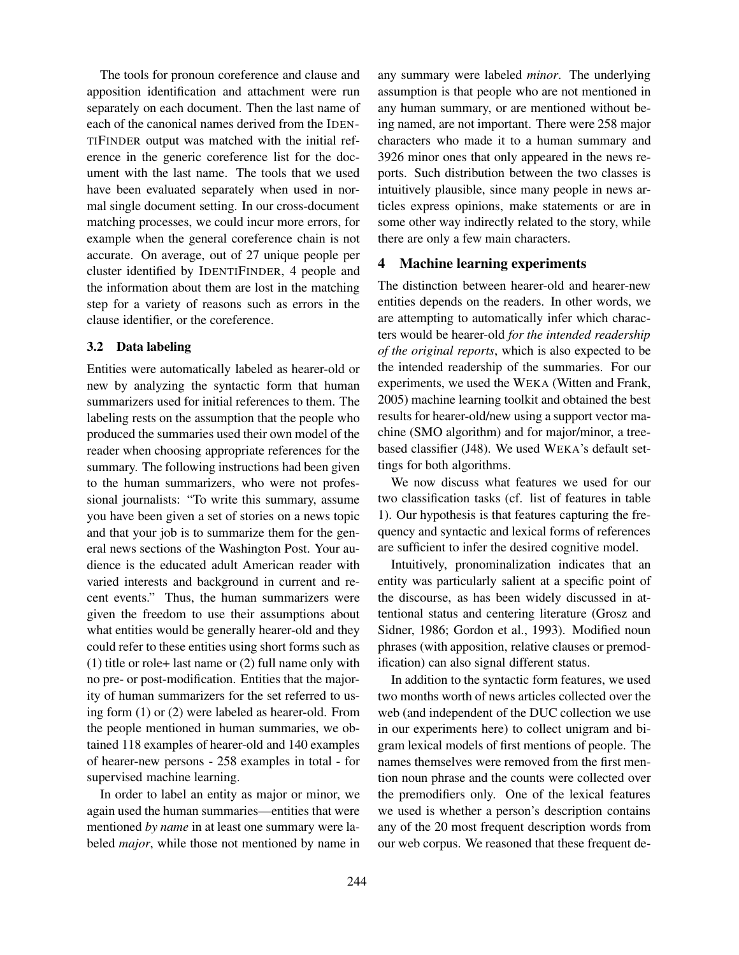The tools for pronoun coreference and clause and apposition identification and attachment were run separately on each document. Then the last name of each of the canonical names derived from the IDEN-TIFINDER output was matched with the initial reference in the generic coreference list for the document with the last name. The tools that we used have been evaluated separately when used in normal single document setting. In our cross-document matching processes, we could incur more errors, for example when the general coreference chain is not accurate. On average, out of 27 unique people per cluster identified by IDENTIFINDER, 4 people and the information about them are lost in the matching step for a variety of reasons such as errors in the clause identifier, or the coreference.

## **3.2 Data labeling**

Entities were automatically labeled as hearer-old or new by analyzing the syntactic form that human summarizers used for initial references to them. The labeling rests on the assumption that the people who produced the summaries used their own model of the reader when choosing appropriate references for the summary. The following instructions had been given to the human summarizers, who were not professional journalists: "To write this summary, assume you have been given a set of stories on a news topic and that your job is to summarize them for the general news sections of the Washington Post. Your audience is the educated adult American reader with varied interests and background in current and recent events." Thus, the human summarizers were given the freedom to use their assumptions about what entities would be generally hearer-old and they could refer to these entities using short forms such as (1) title or role+ last name or (2) full name only with no pre- or post-modification. Entities that the majority of human summarizers for the set referred to using form (1) or (2) were labeled as hearer-old. From the people mentioned in human summaries, we obtained 118 examples of hearer-old and 140 examples of hearer-new persons - 258 examples in total - for supervised machine learning.

In order to label an entity as major or minor, we again used the human summaries—entities that were mentioned *by name* in at least one summary were labeled *major*, while those not mentioned by name in

any summary were labeled *minor*. The underlying assumption is that people who are not mentioned in any human summary, or are mentioned without being named, are not important. There were 258 major characters who made it to a human summary and 3926 minor ones that only appeared in the news reports. Such distribution between the two classes is intuitively plausible, since many people in news articles express opinions, make statements or are in some other way indirectly related to the story, while there are only a few main characters.

## **4 Machine learning experiments**

The distinction between hearer-old and hearer-new entities depends on the readers. In other words, we are attempting to automatically infer which characters would be hearer-old *for the intended readership of the original reports*, which is also expected to be the intended readership of the summaries. For our experiments, we used the WEKA (Witten and Frank, 2005) machine learning toolkit and obtained the best results for hearer-old/new using a support vector machine (SMO algorithm) and for major/minor, a treebased classifier (J48). We used WEKA's default settings for both algorithms.

We now discuss what features we used for our two classification tasks (cf. list of features in table 1). Our hypothesis is that features capturing the frequency and syntactic and lexical forms of references are sufficient to infer the desired cognitive model.

Intuitively, pronominalization indicates that an entity was particularly salient at a specific point of the discourse, as has been widely discussed in attentional status and centering literature (Grosz and Sidner, 1986; Gordon et al., 1993). Modified noun phrases (with apposition, relative clauses or premodification) can also signal different status.

In addition to the syntactic form features, we used two months worth of news articles collected over the web (and independent of the DUC collection we use in our experiments here) to collect unigram and bigram lexical models of first mentions of people. The names themselves were removed from the first mention noun phrase and the counts were collected over the premodifiers only. One of the lexical features we used is whether a person's description contains any of the 20 most frequent description words from our web corpus. We reasoned that these frequent de-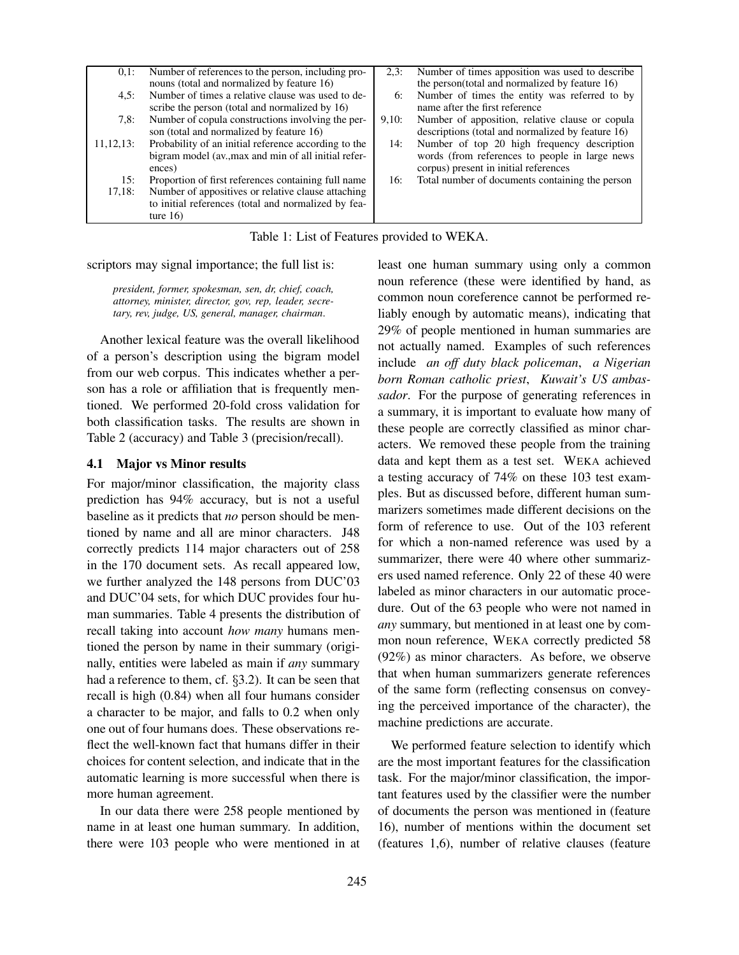| Number of times apposition was used to describe<br>Number of references to the person, including pro-<br>$0,1$ :<br>2.3:<br>nouns (total and normalized by feature 16)<br>the person(total and normalized by feature 16)<br>Number of times a relative clause was used to de-<br>Number of times the entity was referred to by<br>4.5:<br>6:<br>name after the first reference<br>scribe the person (total and normalized by 16)<br>Number of copula constructions involving the per-<br>Number of apposition, relative clause or copula<br>7.8:<br>9,10:<br>descriptions (total and normalized by feature 16)<br>son (total and normalized by feature 16)<br>Probability of an initial reference according to the<br>Number of top 20 high frequency description<br>11, 12, 13:<br>14:<br>bigram model (av., max and min of all initial refer-<br>words (from references to people in large news<br>corpus) present in initial references<br>ences)<br>Total number of documents containing the person<br>Proportion of first references containing full name<br>15:<br>16:<br>Number of appositives or relative clause attaching<br>17.18:<br>to initial references (total and normalized by fea-<br>ture $16$ |  |  |
|------------------------------------------------------------------------------------------------------------------------------------------------------------------------------------------------------------------------------------------------------------------------------------------------------------------------------------------------------------------------------------------------------------------------------------------------------------------------------------------------------------------------------------------------------------------------------------------------------------------------------------------------------------------------------------------------------------------------------------------------------------------------------------------------------------------------------------------------------------------------------------------------------------------------------------------------------------------------------------------------------------------------------------------------------------------------------------------------------------------------------------------------------------------------------------------------------------------|--|--|
|                                                                                                                                                                                                                                                                                                                                                                                                                                                                                                                                                                                                                                                                                                                                                                                                                                                                                                                                                                                                                                                                                                                                                                                                                  |  |  |
|                                                                                                                                                                                                                                                                                                                                                                                                                                                                                                                                                                                                                                                                                                                                                                                                                                                                                                                                                                                                                                                                                                                                                                                                                  |  |  |
|                                                                                                                                                                                                                                                                                                                                                                                                                                                                                                                                                                                                                                                                                                                                                                                                                                                                                                                                                                                                                                                                                                                                                                                                                  |  |  |
|                                                                                                                                                                                                                                                                                                                                                                                                                                                                                                                                                                                                                                                                                                                                                                                                                                                                                                                                                                                                                                                                                                                                                                                                                  |  |  |
|                                                                                                                                                                                                                                                                                                                                                                                                                                                                                                                                                                                                                                                                                                                                                                                                                                                                                                                                                                                                                                                                                                                                                                                                                  |  |  |
|                                                                                                                                                                                                                                                                                                                                                                                                                                                                                                                                                                                                                                                                                                                                                                                                                                                                                                                                                                                                                                                                                                                                                                                                                  |  |  |
|                                                                                                                                                                                                                                                                                                                                                                                                                                                                                                                                                                                                                                                                                                                                                                                                                                                                                                                                                                                                                                                                                                                                                                                                                  |  |  |
|                                                                                                                                                                                                                                                                                                                                                                                                                                                                                                                                                                                                                                                                                                                                                                                                                                                                                                                                                                                                                                                                                                                                                                                                                  |  |  |
|                                                                                                                                                                                                                                                                                                                                                                                                                                                                                                                                                                                                                                                                                                                                                                                                                                                                                                                                                                                                                                                                                                                                                                                                                  |  |  |
|                                                                                                                                                                                                                                                                                                                                                                                                                                                                                                                                                                                                                                                                                                                                                                                                                                                                                                                                                                                                                                                                                                                                                                                                                  |  |  |
|                                                                                                                                                                                                                                                                                                                                                                                                                                                                                                                                                                                                                                                                                                                                                                                                                                                                                                                                                                                                                                                                                                                                                                                                                  |  |  |
|                                                                                                                                                                                                                                                                                                                                                                                                                                                                                                                                                                                                                                                                                                                                                                                                                                                                                                                                                                                                                                                                                                                                                                                                                  |  |  |
|                                                                                                                                                                                                                                                                                                                                                                                                                                                                                                                                                                                                                                                                                                                                                                                                                                                                                                                                                                                                                                                                                                                                                                                                                  |  |  |
|                                                                                                                                                                                                                                                                                                                                                                                                                                                                                                                                                                                                                                                                                                                                                                                                                                                                                                                                                                                                                                                                                                                                                                                                                  |  |  |

Table 1: List of Features provided to WEKA.

scriptors may signal importance; the full list is:

*president, former, spokesman, sen, dr, chief, coach, attorney, minister, director, gov, rep, leader, secretary, rev, judge, US, general, manager, chairman*.

Another lexical feature was the overall likelihood of a person's description using the bigram model from our web corpus. This indicates whether a person has a role or affiliation that is frequently mentioned. We performed 20-fold cross validation for both classification tasks. The results are shown in Table 2 (accuracy) and Table 3 (precision/recall).

#### **4.1 Major vs Minor results**

For major/minor classification, the majority class prediction has 94% accuracy, but is not a useful baseline as it predicts that *no* person should be mentioned by name and all are minor characters. J48 correctly predicts 114 major characters out of 258 in the 170 document sets. As recall appeared low, we further analyzed the 148 persons from DUC'03 and DUC'04 sets, for which DUC provides four human summaries. Table 4 presents the distribution of recall taking into account *how many* humans mentioned the person by name in their summary (originally, entities were labeled as main if *any* summary had a reference to them, cf.  $\S 3.2$ ). It can be seen that recall is high (0.84) when all four humans consider a character to be major, and falls to 0.2 when only one out of four humans does. These observations reflect the well-known fact that humans differ in their choices for content selection, and indicate that in the automatic learning is more successful when there is more human agreement.

In our data there were 258 people mentioned by name in at least one human summary. In addition, there were 103 people who were mentioned in at least one human summary using only a common noun reference (these were identified by hand, as common noun coreference cannot be performed reliably enough by automatic means), indicating that 29% of people mentioned in human summaries are not actually named. Examples of such references include *an off duty black policeman*, *a Nigerian born Roman catholic priest*, *Kuwait's US ambassador*. For the purpose of generating references in a summary, it is important to evaluate how many of these people are correctly classified as minor characters. We removed these people from the training data and kept them as a test set. WEKA achieved a testing accuracy of 74% on these 103 test examples. But as discussed before, different human summarizers sometimes made different decisions on the form of reference to use. Out of the 103 referent for which a non-named reference was used by a summarizer, there were 40 where other summarizers used named reference. Only 22 of these 40 were labeled as minor characters in our automatic procedure. Out of the 63 people who were not named in *any* summary, but mentioned in at least one by common noun reference, WEKA correctly predicted 58 (92%) as minor characters. As before, we observe that when human summarizers generate references of the same form (reflecting consensus on conveying the perceived importance of the character), the machine predictions are accurate.

We performed feature selection to identify which are the most important features for the classification task. For the major/minor classification, the important features used by the classifier were the number of documents the person was mentioned in (feature 16), number of mentions within the document set (features 1,6), number of relative clauses (feature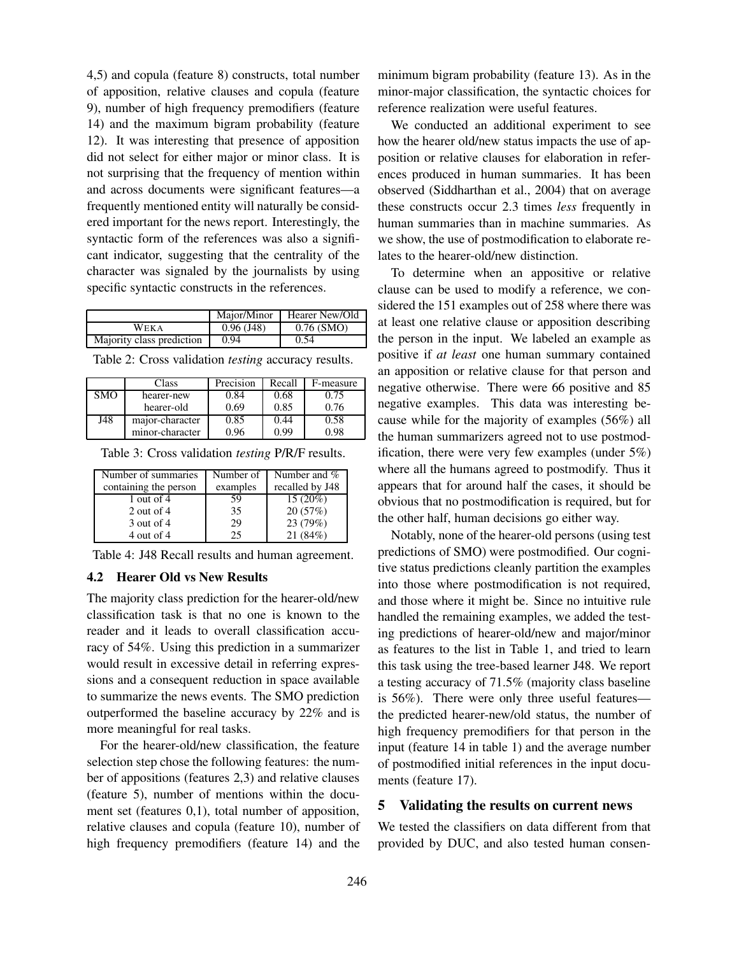4,5) and copula (feature 8) constructs, total number of apposition, relative clauses and copula (feature 9), number of high frequency premodifiers (feature 14) and the maximum bigram probability (feature 12). It was interesting that presence of apposition did not select for either major or minor class. It is not surprising that the frequency of mention within and across documents were significant features—a frequently mentioned entity will naturally be considered important for the news report. Interestingly, the syntactic form of the references was also a significant indicator, suggesting that the centrality of the character was signaled by the journalists by using specific syntactic constructs in the references.

|                           | Major/Minor     | Hearer New/Old |
|---------------------------|-----------------|----------------|
| WEKA                      | $0.96($ J $48)$ | $0.76$ (SMO)   |
| Majority class prediction | 0.94            | 0.54           |

Table 2: Cross validation *testing* accuracy results.

|            | Class           | Precision | Recall | F-measure |
|------------|-----------------|-----------|--------|-----------|
| <b>SMO</b> | hearer-new      | 0.84      | 0.68   | 0.75      |
|            | hearer-old      | 0.69      | 0.85   | 0.76      |
| J48        | major-character | 0.85      | 0.44   | 0.58      |
|            | minor-character | 0.96      | 0.99   | 0.98      |

Table 3: Cross validation *testing* P/R/F results.

| Number of summaries   | Number of | Number and %    |
|-----------------------|-----------|-----------------|
| containing the person | examples  | recalled by J48 |
| 1 out of 4            | 59        | $15(20\%)$      |
| 2 out of $4$          | 35        | 20(57%)         |
| $3$ out of $4$        | 29        | 23 (79%)        |
| 4 out of 4            | 25        | 21(84%)         |

Table 4: J48 Recall results and human agreement.

#### **4.2 Hearer Old vs New Results**

The majority class prediction for the hearer-old/new classification task is that no one is known to the reader and it leads to overall classification accuracy of 54%. Using this prediction in a summarizer would result in excessive detail in referring expressions and a consequent reduction in space available to summarize the news events. The SMO prediction outperformed the baseline accuracy by 22% and is more meaningful for real tasks.

For the hearer-old/new classification, the feature selection step chose the following features: the number of appositions (features 2,3) and relative clauses (feature 5), number of mentions within the document set (features 0,1), total number of apposition, relative clauses and copula (feature 10), number of high frequency premodifiers (feature 14) and the minimum bigram probability (feature 13). As in the minor-major classification, the syntactic choices for reference realization were useful features.

We conducted an additional experiment to see how the hearer old/new status impacts the use of apposition or relative clauses for elaboration in references produced in human summaries. It has been observed (Siddharthan et al., 2004) that on average these constructs occur 2.3 times *less* frequently in human summaries than in machine summaries. As we show, the use of postmodification to elaborate relates to the hearer-old/new distinction.

To determine when an appositive or relative clause can be used to modify a reference, we considered the 151 examples out of 258 where there was at least one relative clause or apposition describing the person in the input. We labeled an example as positive if *at least* one human summary contained an apposition or relative clause for that person and negative otherwise. There were 66 positive and 85 negative examples. This data was interesting because while for the majority of examples (56%) all the human summarizers agreed not to use postmodification, there were very few examples (under  $5\%$ ) where all the humans agreed to postmodify. Thus it appears that for around half the cases, it should be obvious that no postmodification is required, but for the other half, human decisions go either way.

Notably, none of the hearer-old persons (using test predictions of SMO) were postmodified. Our cognitive status predictions cleanly partition the examples into those where postmodification is not required, and those where it might be. Since no intuitive rule handled the remaining examples, we added the testing predictions of hearer-old/new and major/minor as features to the list in Table 1, and tried to learn this task using the tree-based learner J48. We report a testing accuracy of 71.5% (majority class baseline is 56%). There were only three useful features the predicted hearer-new/old status, the number of high frequency premodifiers for that person in the input (feature 14 in table 1) and the average number of postmodified initial references in the input documents (feature 17).

## **5 Validating the results on current news**

We tested the classifiers on data different from that provided by DUC, and also tested human consen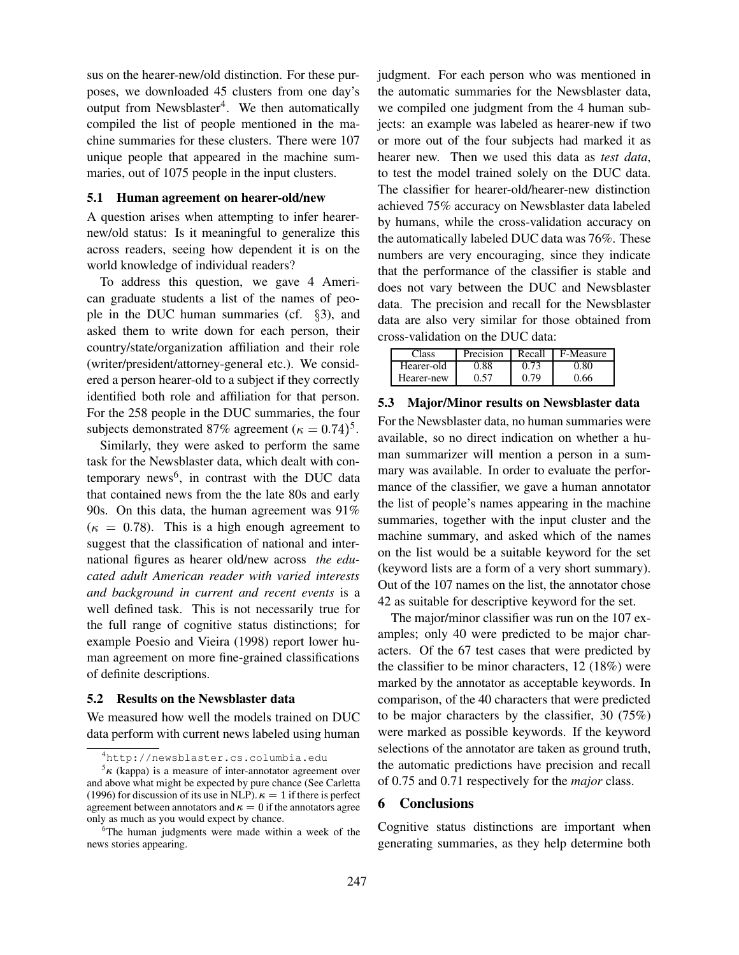sus on the hearer-new/old distinction. For these purposes, we downloaded 45 clusters from one day's output from Newsblaster<sup>4</sup>. We then automatically compiled the list of people mentioned in the machine summaries for these clusters. There were 107 unique people that appeared in the machine summaries, out of 1075 people in the input clusters.

# **5.1 Human agreement on hearer-old/new**

A question arises when attempting to infer hearernew/old status: Is it meaningful to generalize this across readers, seeing how dependent it is on the world knowledge of individual readers?

To address this question, we gave 4 American graduate students a list of the names of people in the DUC human summaries (cf.  $\S$ 3), and asked them to write down for each person, their country/state/organization affiliation and their role (writer/president/attorney-general etc.). We considered a person hearer-old to a subject if they correctly identified both role and affiliation for that person. For the 258 people in the DUC summaries, the four subjects demonstrated 87% agreement ( $\kappa = 0.74$ )<sup>5</sup>.

Similarly, they were asked to perform the same task for the Newsblaster data, which dealt with contemporary news<sup>6</sup>, in contrast with the DUC data that contained news from the the late 80s and early 90s. On this data, the human agreement was 91%  $(\kappa = 0.78)$ . This is a high enough agreement to suggest that the classification of national and international figures as hearer old/new across *the educated adult American reader with varied interests and background in current and recent events* is a well defined task. This is not necessarily true for the full range of cognitive status distinctions; for example Poesio and Vieira (1998) report lower human agreement on more fine-grained classifications of definite descriptions.

#### **5.2 Results on the Newsblaster data**

We measured how well the models trained on DUC data perform with current news labeled using human judgment. For each person who was mentioned in the automatic summaries for the Newsblaster data, we compiled one judgment from the 4 human subjects: an example was labeled as hearer-new if two or more out of the four subjects had marked it as hearer new. Then we used this data as *test data*, to test the model trained solely on the DUC data. The classifier for hearer-old/hearer-new distinction achieved 75% accuracy on Newsblaster data labeled by humans, while the cross-validation accuracy on the automatically labeled DUC data was 76%. These numbers are very encouraging, since they indicate that the performance of the classifier is stable and does not vary between the DUC and Newsblaster data. The precision and recall for the Newsblaster data are also very similar for those obtained from cross-validation on the DUC data:

| Class      | Precision | Recall | F-Measure |
|------------|-----------|--------|-----------|
| Hearer-old | 0.88      | 0.73   | 0.80      |
| Hearer-new | 0.57      | በ 79   | 0.66      |

#### **5.3 Major/Minor results on Newsblaster data**

For the Newsblaster data, no human summaries were available, so no direct indication on whether a human summarizer will mention a person in a summary was available. In order to evaluate the performance of the classifier, we gave a human annotator the list of people's names appearing in the machine summaries, together with the input cluster and the machine summary, and asked which of the names on the list would be a suitable keyword for the set (keyword lists are a form of a very short summary). Out of the 107 names on the list, the annotator chose 42 as suitable for descriptive keyword for the set.

The major/minor classifier was run on the 107 examples; only 40 were predicted to be major characters. Of the 67 test cases that were predicted by the classifier to be minor characters, 12 (18%) were marked by the annotator as acceptable keywords. In comparison, of the 40 characters that were predicted to be major characters by the classifier, 30 (75%) were marked as possible keywords. If the keyword selections of the annotator are taken as ground truth, the automatic predictions have precision and recall of 0.75 and 0.71 respectively for the *major* class.

#### **6 Conclusions**

Cognitive status distinctions are important when generating summaries, as they help determine both

<sup>&</sup>lt;sup>4</sup>http://newsblaster.cs.columbia.edu

 $5\kappa$  (kappa) is a measure of inter-annotator agreement over and above what might be expected by pure chance (See Carletta (1996) for discussion of its use in NLP).  $\kappa = 1$  if there is perfect agreement between annotators and  $\kappa = 0$  if the annotators agree only as much as you would expect by chance.

<sup>&</sup>lt;sup>6</sup>The human judgments were made within a week of the news stories appearing.